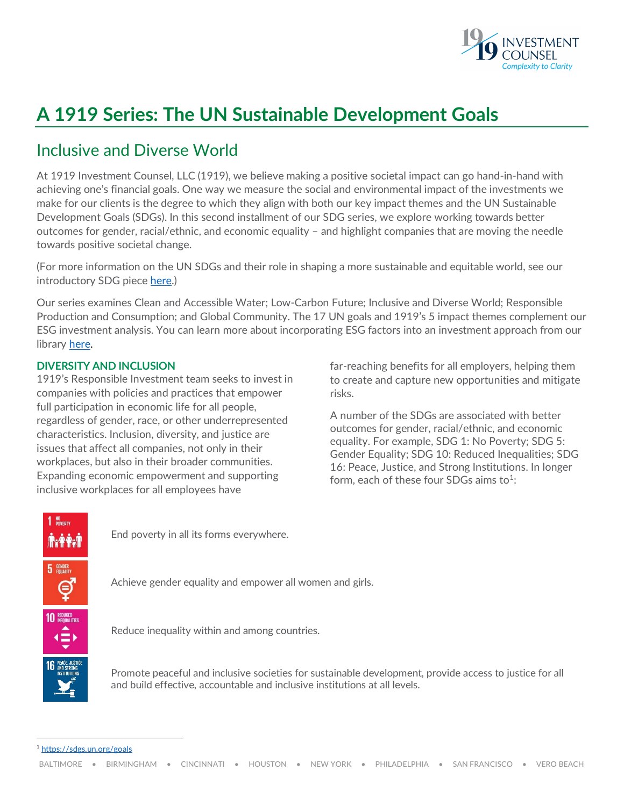

# **A 1919 Series: The UN Sustainable Development Goals**

# Inclusive and Diverse World

At 1919 Investment Counsel, LLC (1919), we believe making a positive societal impact can go hand-in-hand with achieving one's financial goals. One way we measure the social and environmental impact of the investments we make for our clients is the degree to which they align with both our key impact themes and the UN Sustainable Development Goals (SDGs). In this second installment of our SDG series, we explore working towards better outcomes for gender, racial/ethnic, and economic equality – and highlight companies that are moving the needle towards positive societal change.

(For more information on the UN SDGs and their role in shaping a more sustainable and equitable world, see our introductory SDG piec[e here.\)](https://1919ic.com/library/1919-sdgs-series-introduction/)

Our series examines Clean and Accessible Water; Low-Carbon Future; Inclusive and Diverse World; Responsible Production and Consumption; and Global Community. The 17 UN goals and 1919's 5 impact themes complement our ESG investment analysis. You can learn more about incorporating ESG factors into an investment approach from our library [here.](https://1919ic.com/wp-content/uploads/2021/07/ESG-101-What-is-ESG-Investing.pdf)

# **DIVERSITY AND INCLUSION**

1919's Responsible Investment team seeks to invest in companies with policies and practices that empower full participation in economic life for all people, regardless of gender, race, or other underrepresented characteristics. Inclusion, diversity, and justice are issues that affect all companies, not only in their workplaces, but also in their broader communities. Expanding economic empowerment and supporting inclusive workplaces for all employees have

far-reaching benefits for all employers, helping them to create and capture new opportunities and mitigate risks.

A number of the SDGs are associated with better outcomes for gender, racial/ethnic, and economic equality. For example, SDG 1: No Poverty; SDG 5: Gender Equality; SDG 10: Reduced Inequalities; SDG 16: Peace, Justice, and Strong Institutions. In longer form, each of these four SDGs aims to<sup>[1](#page-0-0)</sup>:



End poverty in all its forms everywhere.

Achieve gender equality and empower all women and girls.

Reduce inequality within and among countries.

<span id="page-0-0"></span>Promote peaceful and inclusive societies for sustainable development, provide access to justice for all and build effective, accountable and inclusive institutions at all levels.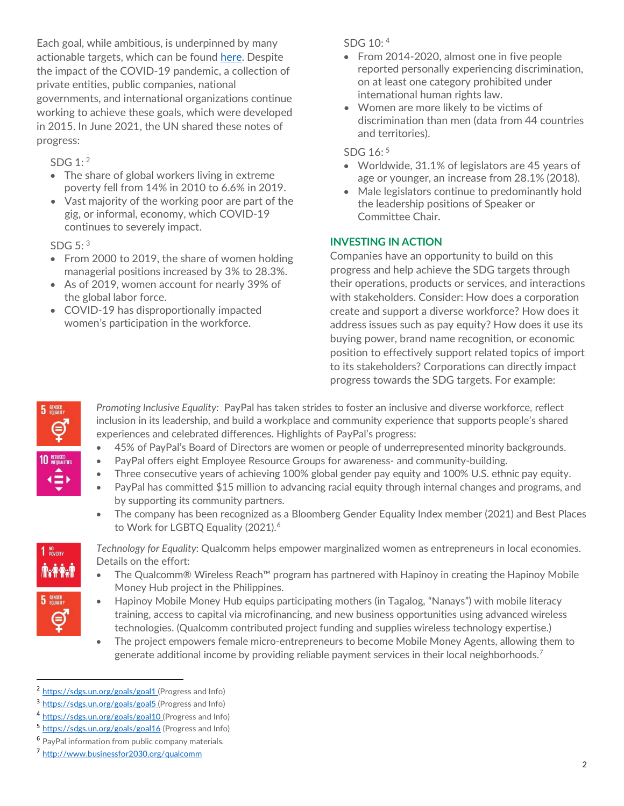Each goal, while ambitious, is underpinned by many actionable targets, which can be found [here.](https://unstats.un.org/sdgs/indicators/Global%20Indicator%20Framework%20after%202021%20refinement_Eng.pdf) Despite the impact of the COVID-19 pandemic, a collection of private entities, public companies, national governments, and international organizations continue working to achieve these goals, which were developed in 2015. In June 2021, the UN shared these notes of progress:

SDG 1: [2](#page-1-0)

- The share of global workers living in extreme poverty fell from 14% in 2010 to 6.6% in 2019.
- Vast majority of the working poor are part of the gig, or informal, economy, which COVID-19 continues to severely impact.

SDG  $5:3$  $5:3$ 

- From 2000 to 2019, the share of women holding managerial positions increased by 3% to 28.3%.
- As of 2019, women account for nearly 39% of the global labor force.
- COVID-19 has disproportionally impacted women's participation in the workforce.

SDG 10: [4](#page-1-2)

- From 2014-2020, almost one in five people reported personally experiencing discrimination, on at least one category prohibited under international human rights law.
- Women are more likely to be victims of discrimination than men (data from 44 countries and territories).

SDG 16: [5](#page-1-3)

- Worldwide, 31.1% of legislators are 45 years of age or younger, an increase from 28.1% (2018).
- Male legislators continue to predominantly hold the leadership positions of Speaker or Committee Chair.

# **INVESTING IN ACTION**

Companies have an opportunity to build on this progress and help achieve the SDG targets through their operations, products or services, and interactions with stakeholders. Consider: How does a corporation create and support a diverse workforce? How does it address issues such as pay equity? How does it use its buying power, brand name recognition, or economic position to effectively support related topics of import to its stakeholders? Corporations can directly impact progress towards the SDG targets. For example:



*Promoting Inclusive Equality:* PayPal has taken strides to foster an inclusive and diverse workforce, reflect inclusion in its leadership, and build a workplace and community experience that supports people's shared experiences and celebrated differences. Highlights of PayPal's progress:

- 45% of PayPal's Board of Directors are women or people of underrepresented minority backgrounds.
- PayPal offers eight Employee Resource Groups for awareness- and community-building.
- Three consecutive years of achieving 100% global gender pay equity and 100% U.S. ethnic pay equity.
- PayPal has committed \$15 million to advancing racial equity through internal changes and programs, and by supporting its community partners.
- The company has been recognized as a Bloomberg Gender Equality Index member (2021) and Best Places to Work for LGBTQ Equality (2021).<sup>[6](#page-1-4)</sup>



*Technology for Equality*: Qualcomm helps empower marginalized women as entrepreneurs in local economies. Details on the effort:

- The Qualcomm® Wireless Reach™ program has partnered with Hapinoy in creating the Hapinoy Mobile Money Hub project in the Philippines.
- Hapinoy Mobile Money Hub equips participating mothers (in Tagalog, "Nanays") with mobile literacy training, access to capital via microfinancing, and new business opportunities using advanced wireless technologies. (Qualcomm contributed project funding and supplies wireless technology expertise.)
- The project empowers female micro-entrepreneurs to become Mobile Money Agents, allowing them to generate additional income by providing reliable payment services in their local neighborhoods[.7](#page-1-5)

<span id="page-1-0"></span><sup>&</sup>lt;sup>2</sup> <https://sdgs.un.org/goals/goal1> (Progress and Info)

<span id="page-1-1"></span><sup>3</sup> <https://sdgs.un.org/goals/goal5> (Progress and Info)

<span id="page-1-2"></span><sup>4</sup> <https://sdgs.un.org/goals/goal10> (Progress and Info)

<span id="page-1-3"></span><sup>5</sup> <https://sdgs.un.org/goals/goal16> (Progress and Info)

<span id="page-1-4"></span><sup>6</sup> PayPal information from public company materials.

<span id="page-1-5"></span><sup>7</sup> <http://www.businessfor2030.org/qualcomm>